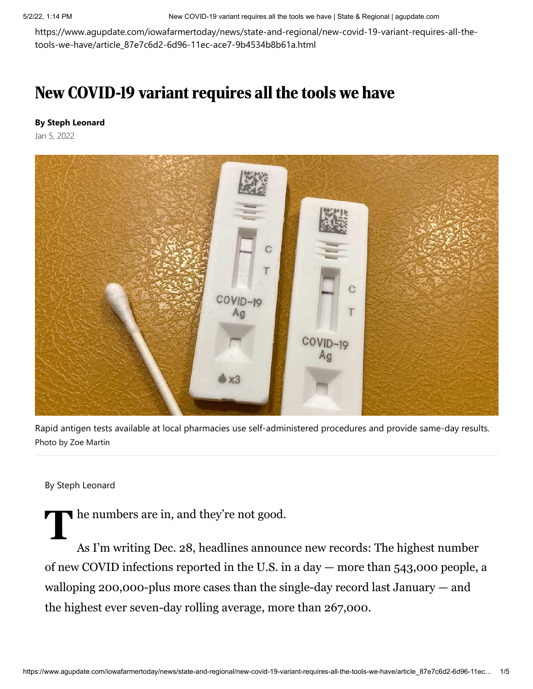5/2/22, 1:14 PM New COVID-19 variant requires all the tools we have | State & Regional | agupdate.com

https://www.agupdate.com/iowafarmertoday/news/state-and-regional/new-covid-19-variant-requires-all-thetools-we-have/article\_87e7c6d2-6d96-11ec-ace7-9b4534b8b61a.html

## New COVID-19 variant requires all the tools we have

## **By Steph Leonard**

Jan 5, 2022



Rapid antigen tests available at local pharmacies use self-administered procedures and provide same-day results. Photo by Zoe Martin

## By Steph Leonard

The numbers are in, and they're not good.

As I'm writing Dec. 28, headlines announce new records: The highest number of new COVID infections reported in the U.S. in a day — more than 543,000 people, a walloping 200,000-plus more cases than the single-day record last January — and the highest ever seven-day rolling average, more than 267,000.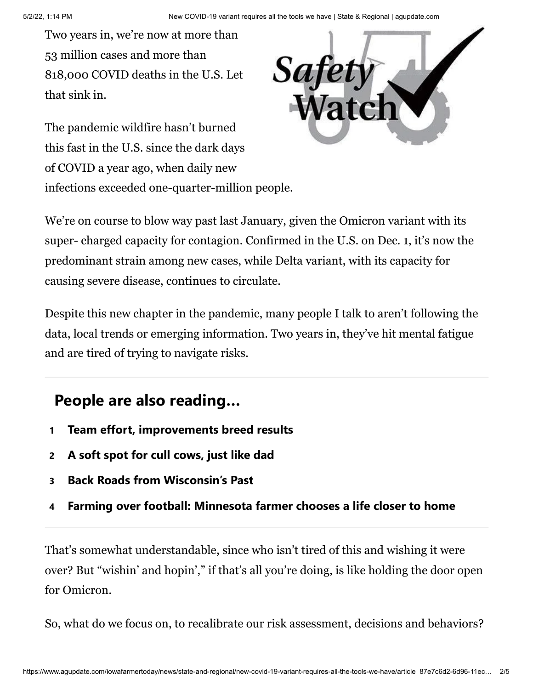Two years in, we're now at more than 53 million cases and more than 818,000 COVID deaths in the U.S. Let that sink in.

The pandemic wildfire hasn't burned this fast in the U.S. since the dark days of COVID a year ago, when daily new infections exceeded one-quarter-million people.



We're on course to blow way past last January, given the Omicron variant with its super- charged capacity for contagion. Confirmed in the U.S. on Dec. 1, it's now the predominant strain among new cases, while Delta variant, with its capacity for causing severe disease, continues to circulate.

Despite this new chapter in the pandemic, many people I talk to aren't following the data, local trends or emerging information. Two years in, they've hit mental fatigue and are tired of trying to navigate risks.

## **People are also reading…**

- **1 [Team effort, improvements breed results](https://www.agupdate.com/agriview/news/dairy/team-effort-improvements-breed-results/article_88ec79e6-bf72-584f-8565-2123d8eb3fa5.html#tracking-source=in-article-popular)**
- **2 [A soft spot for cull cows, just like dad](https://www.agupdate.com/midwestmessenger/opinion/columnists/glenn_brunkow/a-soft-spot-for-cull-cows-just-like-dad/article_e3cf81a0-c0cb-11ec-b1a5-f7696323b5cf.html#tracking-source=in-article-popular)**
- **3 [Back Roads from Wisconsin's Past](https://www.agupdate.com/agriview/news/business/back-roads-from-wisconsin-s-past/article_f745b465-184f-579f-bbd4-2c2e2295e358.html#tracking-source=in-article-popular)**
- **4 [Farming over football: Minnesota farmer chooses a life closer to home](https://www.agupdate.com/tristateneighbor/news/crop/farming-over-football-minnesota-farmer-chooses-a-life-closer-to-home/article_0713e390-bd02-11ec-a2b6-275467022c5a.html#tracking-source=in-article-popular)**

That's somewhat understandable, since who isn't tired of this and wishing it were over? But "wishin' and hopin'," if that's all you're doing, is like holding the door open for Omicron.

So, what do we focus on, to recalibrate our risk assessment, decisions and behaviors?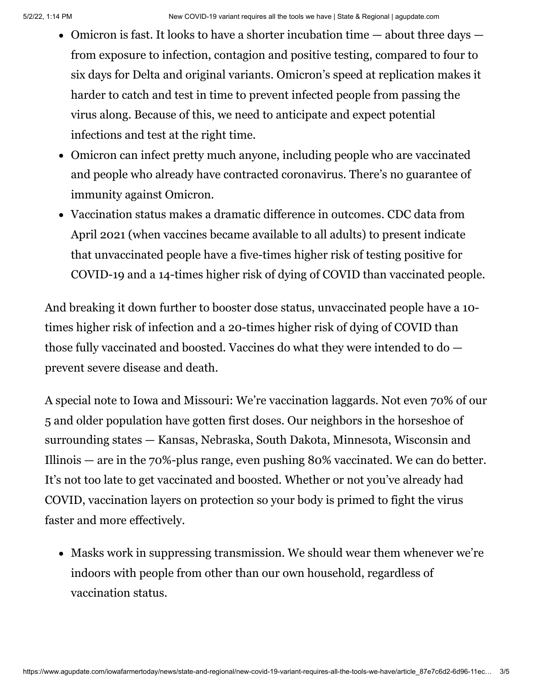- Omicron is fast. It looks to have a shorter incubation time  $-$  about three days  $$ from exposure to infection, contagion and positive testing, compared to four to six days for Delta and original variants. Omicron's speed at replication makes it harder to catch and test in time to prevent infected people from passing the virus along. Because of this, we need to anticipate and expect potential infections and test at the right time.
- Omicron can infect pretty much anyone, including people who are vaccinated and people who already have contracted coronavirus. There's no guarantee of immunity against Omicron.
- Vaccination status makes a dramatic difference in outcomes. CDC data from April 2021 (when vaccines became available to all adults) to present indicate that unvaccinated people have a five-times higher risk of testing positive for COVID-19 and a 14-times higher risk of dying of COVID than vaccinated people.

And breaking it down further to booster dose status, unvaccinated people have a 10 times higher risk of infection and a 20-times higher risk of dying of COVID than those fully vaccinated and boosted. Vaccines do what they were intended to do prevent severe disease and death.

A special note to Iowa and Missouri: We're vaccination laggards. Not even 70% of our 5 and older population have gotten first doses. Our neighbors in the horseshoe of surrounding states — Kansas, Nebraska, South Dakota, Minnesota, Wisconsin and Illinois — are in the 70%-plus range, even pushing 80% vaccinated. We can do better. It's not too late to get vaccinated and boosted. Whether or not you've already had COVID, vaccination layers on protection so your body is primed to fight the virus faster and more effectively.

• Masks work in suppressing transmission. We should wear them whenever we're indoors with people from other than our own household, regardless of vaccination status.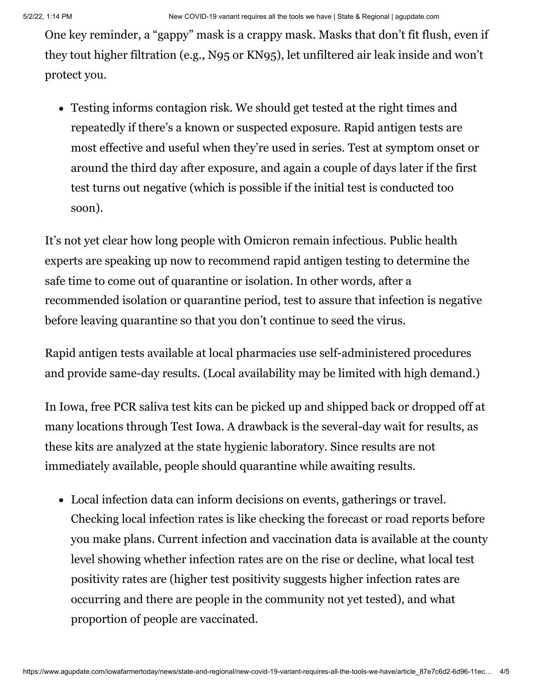One key reminder, a "gappy" mask is a crappy mask. Masks that don't fit flush, even if they tout higher filtration (e.g., N95 or KN95), let unfiltered air leak inside and won't protect you.

Testing informs contagion risk. We should get tested at the right times and repeatedly if there's a known or suspected exposure. Rapid antigen tests are most effective and useful when they're used in series. Test at symptom onset or around the third day after exposure, and again a couple of days later if the first test turns out negative (which is possible if the initial test is conducted too soon).

It's not yet clear how long people with Omicron remain infectious. Public health experts are speaking up now to recommend rapid antigen testing to determine the safe time to come out of quarantine or isolation. In other words, after a recommended isolation or quarantine period, test to assure that infection is negative before leaving quarantine so that you don't continue to seed the virus.

Rapid antigen tests available at local pharmacies use self-administered procedures and provide same-day results. (Local availability may be limited with high demand.)

In Iowa, free PCR saliva test kits can be picked up and shipped back or dropped off at many locations through Test Iowa. A drawback is the several-day wait for results, as these kits are analyzed at the state hygienic laboratory. Since results are not immediately available, people should quarantine while awaiting results.

Local infection data can inform decisions on events, gatherings or travel. Checking local infection rates is like checking the forecast or road reports before you make plans. Current infection and vaccination data is available at the county level showing whether infection rates are on the rise or decline, what local test positivity rates are (higher test positivity suggests higher infection rates are occurring and there are people in the community not yet tested), and what proportion of people are vaccinated.